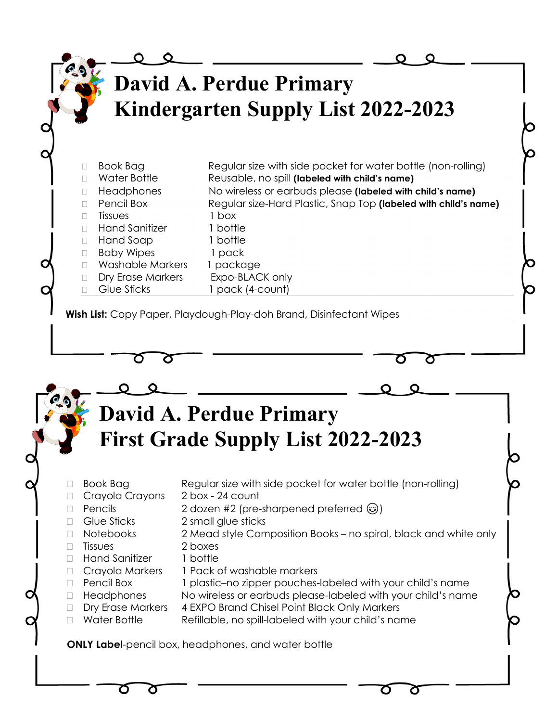